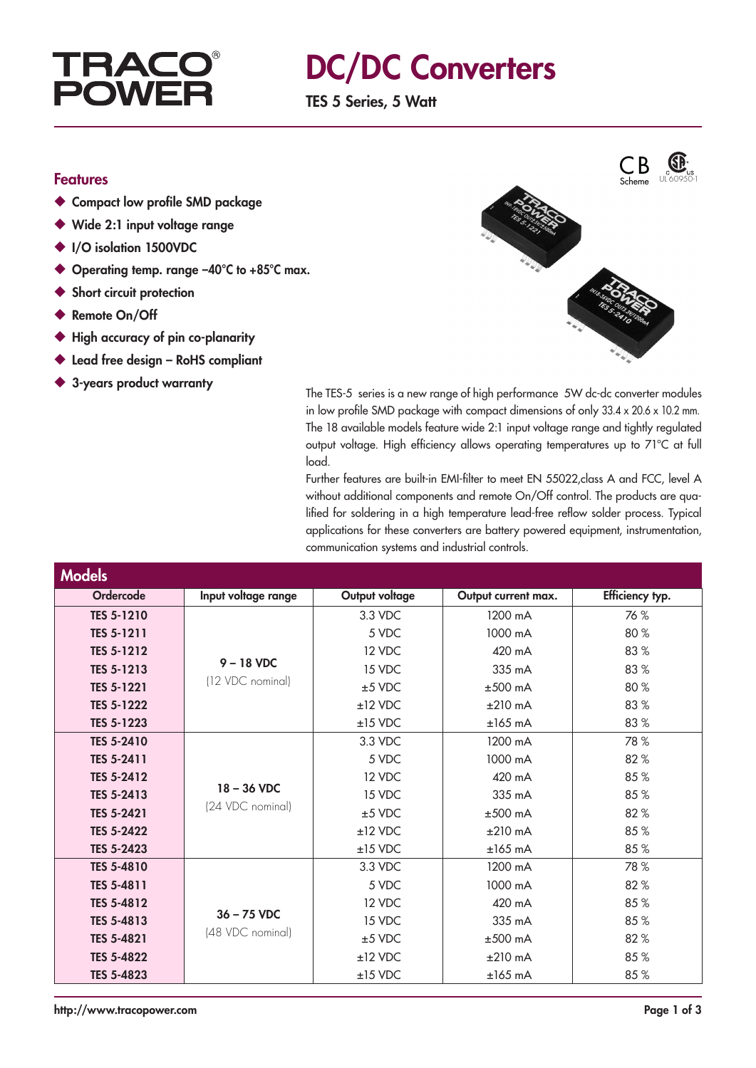### **TRAC** POV

### DC/DC Converters

TES 5 Series, 5 Watt

#### Features

- ◆ Compact low profile SMD package
- ◆ Wide 2:1 input voltage range
- ◆ I/O isolation 1500VDC
- ◆ Operating temp. range -40°C to +85°C max.
- ◆ Short circuit protection
- ◆ Remote On/Off
- ◆ High accuracy of pin co-planarity
- ◆ Lead free design RoHS compliant
- 



◆ 3-years product warranty The TES-5 series is a new range of high performance 5W dc-dc converter modules in low profile SMD package with compact dimensions of only 33.4 x 20.6 x 10.2 mm. The 18 available models feature wide 2:1 input voltage range and tightly regulated output voltage. High efficiency allows operating temperatures up to 71°C at full load.

> Further features are built-in EMI-filter to meet EN 55022,class A and FCC, level A without additional components and remote On/Off control. The products are qualified for soldering in a high temperature lead-free reflow solder process. Typical applications for these converters are battery powered equipment, instrumentation, communication systems and industrial controls.

| <b>Models</b>     |                                   |                |                     |                 |
|-------------------|-----------------------------------|----------------|---------------------|-----------------|
| Ordercode         | Input voltage range               | Output voltage | Output current max. | Efficiency typ. |
| <b>TES 5-1210</b> | $9 - 18$ VDC<br>(12 VDC nominal)  | 3.3 VDC        | 1200 mA             | 76 %            |
| TES 5-1211        |                                   | 5 VDC          | 1000 mA             | 80 %            |
| <b>TES 5-1212</b> |                                   | 12 VDC         | 420 mA              | 83%             |
| <b>TES 5-1213</b> |                                   | 15 VDC         | 335 mA              | 83%             |
| <b>TES 5-1221</b> |                                   | $±5$ VDC       | $±500$ mA           | 80 %            |
| <b>TES 5-1222</b> |                                   | $±12$ VDC      | $±210$ mA           | 83%             |
| TES 5-1223        |                                   | $±15$ VDC      | $±165$ mA           | 83%             |
| <b>TES 5-2410</b> | $18 - 36$ VDC<br>(24 VDC nominal) | 3.3 VDC        | 1200 mA             | 78 %            |
| TES 5-2411        |                                   | 5 VDC          | 1000 mA             | 82%             |
| <b>TES 5-2412</b> |                                   | 12 VDC         | 420 mA              | 85%             |
| <b>TES 5-2413</b> |                                   | 15 VDC         | 335 mA              | 85%             |
| <b>TES 5-2421</b> |                                   | $±5$ VDC       | $±500$ mA           | 82%             |
| <b>TES 5-2422</b> |                                   | $±12$ VDC      | $±210$ mA           | 85%             |
| <b>TES 5-2423</b> |                                   | $±15$ VDC      | $±165$ mA           | 85%             |
| <b>TES 5-4810</b> | $36 - 75$ VDC                     | 3.3 VDC        | 1200 mA             | 78 %            |
| TES 5-4811        |                                   | 5 VDC          | 1000 mA             | 82%             |
| TES 5-4812        |                                   | 12 VDC         | 420 mA              | 85%             |
| TES 5-4813        |                                   | 15 VDC         | 335 mA              | 85%             |
| TES 5-4821        | (48 VDC nominal)                  | $±5$ VDC       | $±500$ mA           | 82%             |
| <b>TES 5-4822</b> |                                   | $±12$ VDC      | $±210$ mA           | 85%             |
| TES 5-4823        |                                   | $±15$ VDC      | $±165$ mA           | 85%             |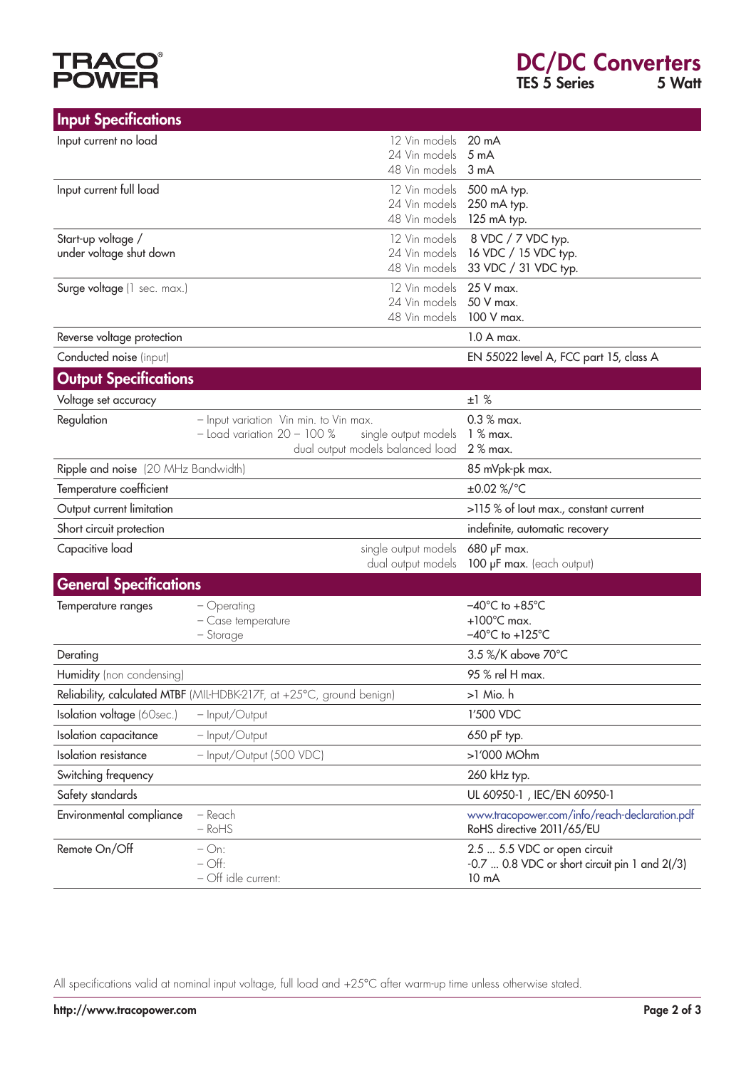# **TRACO®**<br>POWER

| <b>Input Specifications</b>                   |                                                                       |                                  |                                                                            |
|-----------------------------------------------|-----------------------------------------------------------------------|----------------------------------|----------------------------------------------------------------------------|
| Input current no load                         |                                                                       | 12 Vin models                    | 20 mA                                                                      |
|                                               |                                                                       | 24 Vin models                    | 5 <sub>m</sub> A                                                           |
|                                               |                                                                       | 48 Vin models                    | 3 <sub>m</sub> A                                                           |
| Input current full load                       |                                                                       | 12 Vin models                    | 500 mA typ.                                                                |
|                                               |                                                                       | 24 Vin models                    | 250 mA typ.                                                                |
|                                               |                                                                       | 48 Vin models                    | 125 mA typ.                                                                |
| Start-up voltage /<br>under voltage shut down |                                                                       | 12 Vin models<br>24 Vin models   | 8 VDC / 7 VDC typ.<br>16 VDC / 15 VDC typ.                                 |
|                                               |                                                                       | 48 Vin models                    | 33 VDC / 31 VDC typ.                                                       |
| Surge voltage (1 sec. max.)                   |                                                                       | 12 Vin models                    | 25 V max.                                                                  |
|                                               |                                                                       | 24 Vin models                    | 50 V max.                                                                  |
|                                               |                                                                       | 48 Vin models                    | 100 V max.                                                                 |
| Reverse voltage protection                    |                                                                       |                                  | 1.0 A max.                                                                 |
| Conducted noise (input)                       |                                                                       |                                  | EN 55022 level A, FCC part 15, class A                                     |
| <b>Output Specifications</b>                  |                                                                       |                                  |                                                                            |
| Voltage set accuracy                          |                                                                       |                                  | ±1%                                                                        |
| Regulation                                    | - Input variation Vin min. to Vin max.                                |                                  | $0.3 %$ max.                                                               |
|                                               | $-$ Load variation $20 - 100\%$                                       | single output models             | $1%$ max.                                                                  |
|                                               |                                                                       | dual output models balanced load | 2 % max.                                                                   |
| Ripple and noise (20 MHz Bandwidth)           |                                                                       |                                  | 85 mVpk-pk max.                                                            |
| Temperature coefficient                       |                                                                       |                                  | ±0.02 %/°C                                                                 |
| Output current limitation                     |                                                                       |                                  | >115 % of lout max., constant current                                      |
| Short circuit protection                      |                                                                       |                                  | indefinite, automatic recovery                                             |
| Capacitive load                               |                                                                       | single output models             | 680 µF max.                                                                |
|                                               |                                                                       | dual output models               | 100 µF max. (each output)                                                  |
| <b>General Specifications</b>                 |                                                                       |                                  |                                                                            |
| Temperature ranges                            | - Operating                                                           |                                  | $-40^{\circ}$ C to $+85^{\circ}$ C                                         |
|                                               | - Case temperature                                                    |                                  | $+100^{\circ}$ C max.<br>$-40^{\circ}$ C to $+125^{\circ}$ C               |
|                                               | - Storage                                                             |                                  |                                                                            |
| Derating                                      |                                                                       |                                  | 3.5 %/K above 70°C                                                         |
| Humidity (non condensing)                     |                                                                       |                                  | 95 % rel H max.                                                            |
|                                               | Reliability, calculated MTBF (MIL-HDBK-217F, at +25°C, ground benign) |                                  | >1 Mio. h                                                                  |
| Isolation voltage (60sec.)                    | - Input/Output                                                        |                                  | 1'500 VDC                                                                  |
| Isolation capacitance                         | - Input/Output                                                        |                                  | 650 pF typ.                                                                |
| <b>Isolation</b> resistance                   | - Input/Output (500 VDC)                                              |                                  | >1'000 MOhm                                                                |
| Switching frequency                           |                                                                       |                                  | 260 kHz typ.                                                               |
| Safety standards                              |                                                                       |                                  | UL 60950-1, IEC/EN 60950-1                                                 |
| Environmental compliance                      | – Reach<br>$-RoHS$                                                    |                                  | www.tracopower.com/info/reach-declaration.pdf<br>RoHS directive 2011/65/EU |
| Remote On/Off                                 | $-$ On:                                                               |                                  | 2.5  5.5 VDC or open circuit                                               |
|                                               | $-\bigcirc$ ff:<br>- Off idle current:                                |                                  | $-0.7$ 0.8 VDC or short circuit pin 1 and $2\binom{3}{3}$<br>10 mA         |

All specifications valid at nominal input voltage, full load and +25°C after warm-up time unless otherwise stated.